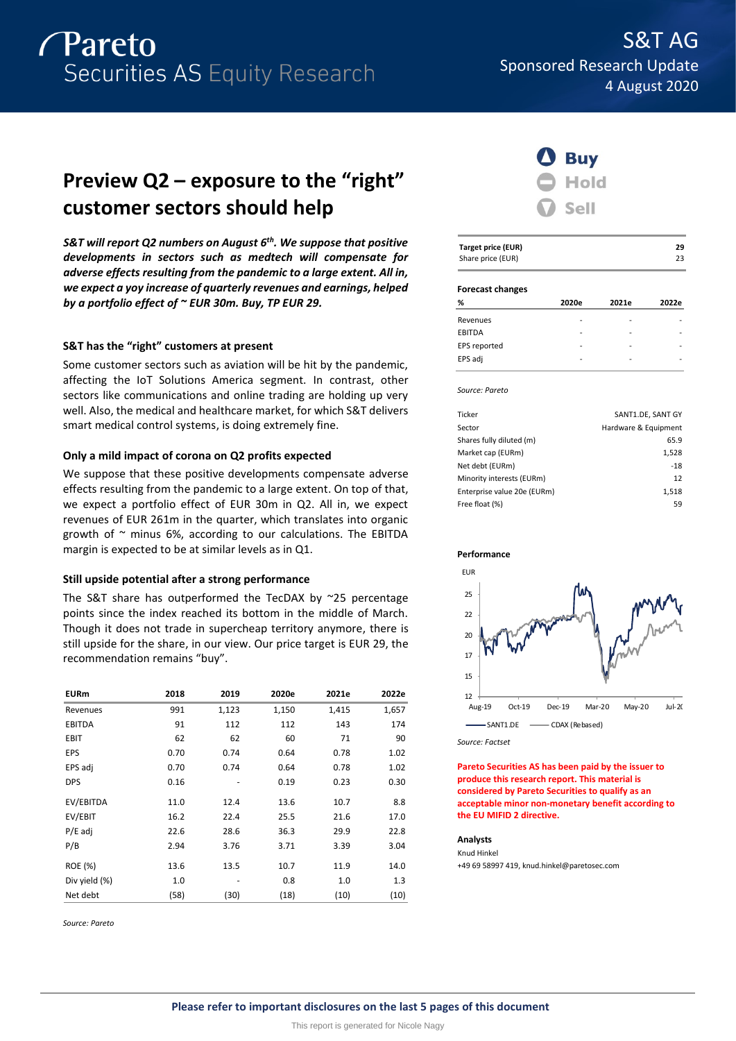

## **Preview Q2 – exposure to the "right" customer sectors should help**

*S&T will report Q2 numbers on August 6 th . We suppose that positive developments in sectors such as medtech will compensate for adverse effects resulting from the pandemic to a large extent. All in, we expect a yoy increase of quarterly revenues and earnings, helped by a portfolio effect of ~ EUR 30m. Buy, TP EUR 29.*

### **S&T has the "right" customers at present**

Some customer sectors such as aviation will be hit by the pandemic, affecting the IoT Solutions America segment. In contrast, other sectors like communications and online trading are holding up very well. Also, the medical and healthcare market, for which S&T delivers smart medical control systems, is doing extremely fine.

#### **Only a mild impact of corona on Q2 profits expected**

We suppose that these positive developments compensate adverse effects resulting from the pandemic to a large extent. On top of that, we expect a portfolio effect of EUR 30m in Q2. All in, we expect revenues of EUR 261m in the quarter, which translates into organic growth of  $\sim$  minus 6%, according to our calculations. The EBITDA margin is expected to be at similar levels as in Q1.

#### **Still upside potential after a strong performance**

The S&T share has outperformed the TecDAX by ~25 percentage points since the index reached its bottom in the middle of March. Though it does not trade in supercheap territory anymore, there is still upside for the share, in our view. Our price target is EUR 29, the recommendation remains "buy".

| <b>EURm</b>   | 2018 | 2019  | 2020e | 2021e | 2022e |
|---------------|------|-------|-------|-------|-------|
| Revenues      | 991  | 1,123 | 1,150 | 1,415 | 1,657 |
| <b>EBITDA</b> | 91   | 112   | 112   | 143   | 174   |
| EBIT          | 62   | 62    | 60    | 71    | 90    |
| EPS           | 0.70 | 0.74  | 0.64  | 0.78  | 1.02  |
| EPS adj       | 0.70 | 0.74  | 0.64  | 0.78  | 1.02  |
| <b>DPS</b>    | 0.16 |       | 0.19  | 0.23  | 0.30  |
| EV/EBITDA     | 11.0 | 12.4  | 13.6  | 10.7  | 8.8   |
| EV/EBIT       | 16.2 | 22.4  | 25.5  | 21.6  | 17.0  |
| $P/E$ adj     | 22.6 | 28.6  | 36.3  | 29.9  | 22.8  |
| P/B           | 2.94 | 3.76  | 3.71  | 3.39  | 3.04  |
| ROE (%)       | 13.6 | 13.5  | 10.7  | 11.9  | 14.0  |
| Div yield (%) | 1.0  |       | 0.8   | 1.0   | 1.3   |
| Net debt      | (58) | (30)  | (18)  | (10)  | (10)  |

*Source: Pareto*



| Target price (EUR) | 29 |
|--------------------|----|
| Share price (EUR)  | 23 |

#### **Forecast changes**

| %             | 2020e | 2021e | 2022e |
|---------------|-------|-------|-------|
| Revenues      | ۰     |       |       |
| <b>EBITDA</b> |       |       |       |
| EPS reported  | ۰     |       |       |
| EPS adj       | ۰     | -     |       |
|               |       |       |       |

*Source: Pareto*

| Ticker                      | SANT1.DE, SANT GY    |
|-----------------------------|----------------------|
| Sector                      | Hardware & Equipment |
| Shares fully diluted (m)    | 65.9                 |
| Market cap (EURm)           | 1,528                |
| Net debt (EURm)             | $-18$                |
| Minority interests (EURm)   | 12                   |
| Enterprise value 20e (EURm) | 1,518                |
| Free float (%)              | 59                   |
|                             |                      |





*Source: Factset*

**Pareto Securities AS has been paid by the issuer to produce this research report. This material is considered by Pareto Securities to qualify as an acceptable minor non-monetary benefit according to the EU MIFID 2 directive.**

#### **Analysts**

Knud Hinkel +49 69 58997 419, knud.hinkel@paretosec.com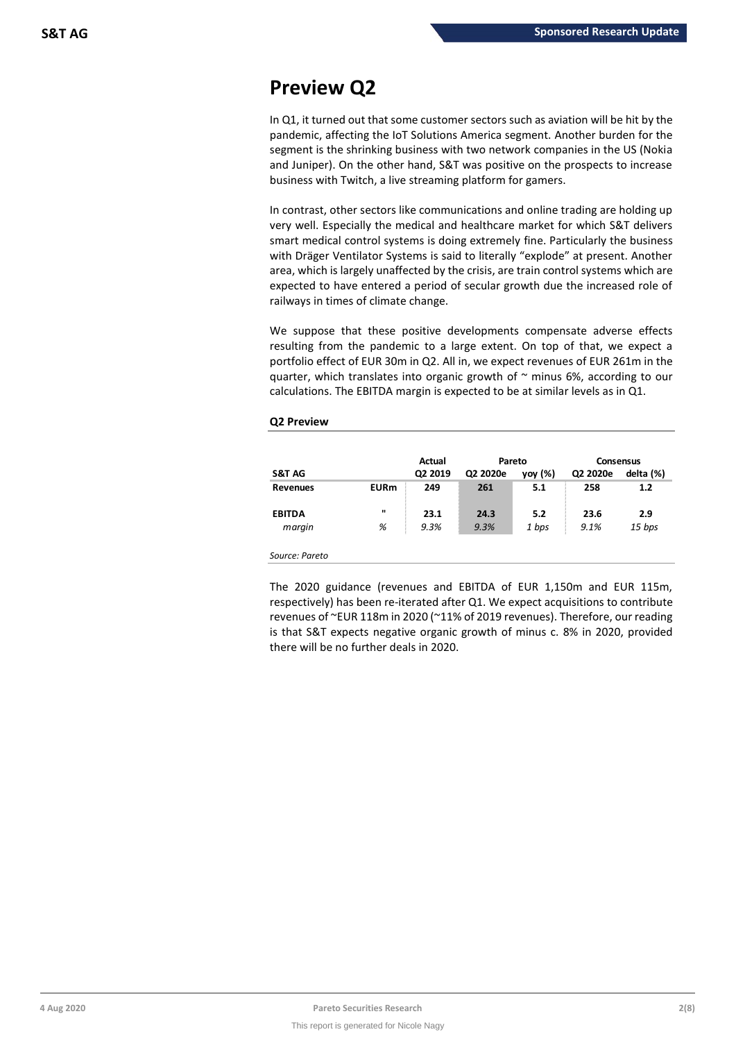## **Preview Q2**

In Q1, it turned out that some customer sectors such as aviation will be hit by the pandemic, affecting the IoT Solutions America segment. Another burden for the segment is the shrinking business with two network companies in the US (Nokia and Juniper). On the other hand, S&T was positive on the prospects to increase business with Twitch, a live streaming platform for gamers.

In contrast, other sectors like communications and online trading are holding up very well. Especially the medical and healthcare market for which S&T delivers smart medical control systems is doing extremely fine. Particularly the business with Dräger Ventilator Systems is said to literally "explode" at present. Another area, which is largely unaffected by the crisis, are train control systems which are expected to have entered a period of secular growth due the increased role of railways in times of climate change.

We suppose that these positive developments compensate adverse effects resulting from the pandemic to a large extent. On top of that, we expect a portfolio effect of EUR 30m in Q2. All in, we expect revenues of EUR 261m in the quarter, which translates into organic growth of  $\sim$  minus 6%, according to our calculations. The EBITDA margin is expected to be at similar levels as in Q1.

### **Q2 Preview**

|                 |                | Actual  | Pareto   |         | <b>Consensus</b> |           |
|-----------------|----------------|---------|----------|---------|------------------|-----------|
| S&T AG          |                | Q2 2019 | Q2 2020e | yoy (%) | Q2 2020e         | delta (%) |
| <b>Revenues</b> | <b>EURm</b>    | 249     | 261      | 5.1     | 258              | 1.2       |
| <b>EBITDA</b>   | $\blacksquare$ | 23.1    | 24.3     | 5.2     | 23.6             | 2.9       |
| margin          | %              | 9.3%    | 9.3%     | 1 bps   | 9.1%             | 15 bps    |
| Source: Pareto  |                |         |          |         |                  |           |

The 2020 guidance (revenues and EBITDA of EUR 1,150m and EUR 115m, respectively) has been re-iterated after Q1. We expect acquisitions to contribute revenues of ~EUR 118m in 2020 (~11% of 2019 revenues). Therefore, our reading is that S&T expects negative organic growth of minus c. 8% in 2020, provided there will be no further deals in 2020.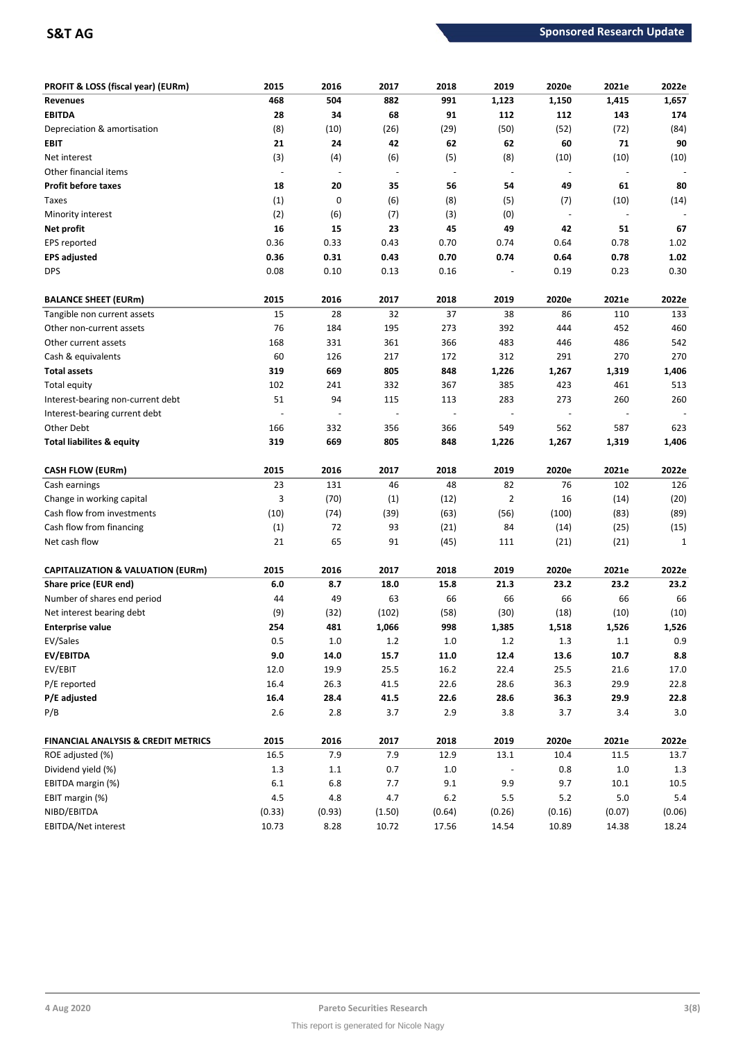| <b>PROFIT &amp; LOSS (fiscal year) (EURm)</b>  | 2015    | 2016                     | 2017           | 2018    | 2019                     | 2020e                    | 2021e                    | 2022e       |
|------------------------------------------------|---------|--------------------------|----------------|---------|--------------------------|--------------------------|--------------------------|-------------|
| <b>Revenues</b>                                | 468     | 504                      | 882            | 991     | 1,123                    | 1,150                    | 1,415                    | 1,657       |
| <b>EBITDA</b>                                  | 28      | 34                       | 68             | 91      | 112                      | 112                      | 143                      | 174         |
| Depreciation & amortisation                    | (8)     | (10)                     | (26)           | (29)    | (50)                     | (52)                     | (72)                     | (84)        |
| EBIT                                           | 21      | 24                       | 42             | 62      | 62                       | 60                       | 71                       | 90          |
| Net interest                                   | (3)     | (4)                      | (6)            | (5)     | (8)                      | (10)                     | (10)                     | (10)        |
| Other financial items                          | $\sim$  | $\overline{\phantom{a}}$ | $\blacksquare$ | $\sim$  | $\overline{\phantom{a}}$ | $\overline{\phantom{a}}$ | $\overline{\phantom{a}}$ |             |
| <b>Profit before taxes</b>                     | 18      | 20                       | 35             | 56      | 54                       | 49                       | 61                       | 80          |
| Taxes                                          | (1)     | 0                        | (6)            | (8)     | (5)                      | (7)                      | (10)                     | (14)        |
| Minority interest                              | (2)     | (6)                      | (7)            | (3)     | (0)                      | $\overline{\phantom{a}}$ |                          |             |
| Net profit                                     | 16      | 15                       | 23             | 45      | 49                       | 42                       | 51                       | 67          |
| EPS reported                                   | 0.36    | 0.33                     | 0.43           | 0.70    | 0.74                     | 0.64                     | 0.78                     | 1.02        |
| <b>EPS adjusted</b>                            | 0.36    | 0.31                     | 0.43           | 0.70    | 0.74                     | 0.64                     | 0.78                     | 1.02        |
| <b>DPS</b>                                     | 0.08    | 0.10                     | 0.13           | 0.16    |                          | 0.19                     | 0.23                     | 0.30        |
| <b>BALANCE SHEET (EURm)</b>                    | 2015    | 2016                     | 2017           | 2018    | 2019                     | 2020e                    | 2021e                    | 2022e       |
| Tangible non current assets                    | 15      | 28                       | 32             | 37      | 38                       | 86                       | 110                      | 133         |
| Other non-current assets                       | 76      | 184                      | 195            | 273     | 392                      | 444                      | 452                      | 460         |
| Other current assets                           | 168     | 331                      | 361            | 366     | 483                      | 446                      | 486                      | 542         |
| Cash & equivalents                             | 60      | 126                      | 217            | 172     | 312                      | 291                      | 270                      | 270         |
| <b>Total assets</b>                            | 319     | 669                      | 805            | 848     | 1,226                    | 1,267                    | 1,319                    | 1,406       |
| <b>Total equity</b>                            | 102     | 241                      | 332            | 367     | 385                      | 423                      | 461                      | 513         |
| Interest-bearing non-current debt              | 51      | 94                       | 115            | 113     | 283                      | 273                      | 260                      | 260         |
| Interest-bearing current debt                  |         |                          |                | ÷,      |                          |                          |                          |             |
| Other Debt                                     | 166     | 332                      | 356            | 366     | 549                      | 562                      | 587                      | 623         |
| Total liabilites & equity                      | 319     | 669                      | 805            | 848     | 1,226                    | 1,267                    | 1,319                    | 1,406       |
| <b>CASH FLOW (EURm)</b>                        | 2015    | 2016                     | 2017           | 2018    | 2019                     | 2020e                    | 2021e                    | 2022e       |
| Cash earnings                                  | 23      | 131                      | 46             | 48      | 82                       | 76                       | 102                      | 126         |
| Change in working capital                      | 3       | (70)                     | (1)            | (12)    | 2                        | 16                       | (14)                     | (20)        |
| Cash flow from investments                     | (10)    | (74)                     | (39)           | (63)    | (56)                     | (100)                    | (83)                     | (89)        |
| Cash flow from financing                       | (1)     | 72                       | 93             | (21)    | 84                       | (14)                     | (25)                     | (15)        |
| Net cash flow                                  | 21      | 65                       | 91             | (45)    | 111                      | (21)                     | (21)                     | $\mathbf 1$ |
| <b>CAPITALIZATION &amp; VALUATION (EURm)</b>   | 2015    | 2016                     | 2017           | 2018    | 2019                     | 2020e                    | 2021e                    | 2022e       |
| Share price (EUR end)                          | 6.0     | 8.7                      | 18.0           | 15.8    | 21.3                     | 23.2                     | 23.2                     | 23.2        |
| Number of shares end period                    | 44      | 49                       | 63             | 66      | 66                       | 66                       | 66                       | 66          |
| Net interest bearing debt                      | (9)     | (32)                     | (102)          | (58)    | (30)                     | (18)                     | (10)                     | (10)        |
| <b>Enterprise value</b>                        | 254     | 481                      | 1,066          | 998     | 1,385                    | 1,518                    | 1,526                    | 1,526       |
| EV/Sales                                       | 0.5     | $1.0\,$                  | $1.2\,$        | $1.0\,$ | 1.2                      | 1.3                      | 1.1                      | 0.9         |
| EV/EBITDA                                      | $9.0\,$ | 14.0                     | 15.7           | 11.0    | 12.4                     | 13.6                     | 10.7                     | $\bf 8.8$   |
| EV/EBIT                                        | 12.0    | 19.9                     | 25.5           | 16.2    | 22.4                     | 25.5                     | 21.6                     | 17.0        |
| P/E reported                                   | 16.4    | 26.3                     | 41.5           | 22.6    | 28.6                     | 36.3                     | 29.9                     | 22.8        |
| P/E adjusted                                   | 16.4    | 28.4                     | 41.5           | 22.6    | 28.6                     | 36.3                     | 29.9                     | 22.8        |
| P/B                                            | $2.6$   | $2.8\,$                  | 3.7            | 2.9     | 3.8                      | 3.7                      | 3.4                      | 3.0         |
| <b>FINANCIAL ANALYSIS &amp; CREDIT METRICS</b> | 2015    | 2016                     | 2017           | 2018    | 2019                     | 2020e                    | 2021e                    | 2022e       |
| ROE adjusted (%)                               | 16.5    | 7.9                      | 7.9            | 12.9    | 13.1                     | 10.4                     | 11.5                     | 13.7        |
| Dividend yield (%)                             | $1.3\,$ | $1.1\,$                  | 0.7            | $1.0\,$ |                          | 0.8                      | $1.0\,$                  | $1.3$       |
| EBITDA margin (%)                              | $6.1\,$ | $6.8\,$                  | 7.7            | 9.1     | 9.9                      | 9.7                      | 10.1                     | 10.5        |
| EBIT margin (%)                                | 4.5     | 4.8                      | 4.7            | $6.2$   | 5.5                      | $5.2$                    | 5.0                      | $5.4\,$     |
| NIBD/EBITDA                                    | (0.33)  | (0.93)                   | (1.50)         | (0.64)  | (0.26)                   | (0.16)                   | (0.07)                   | (0.06)      |
| EBITDA/Net interest                            | 10.73   | 8.28                     | 10.72          | 17.56   | 14.54                    | 10.89                    | 14.38                    | 18.24       |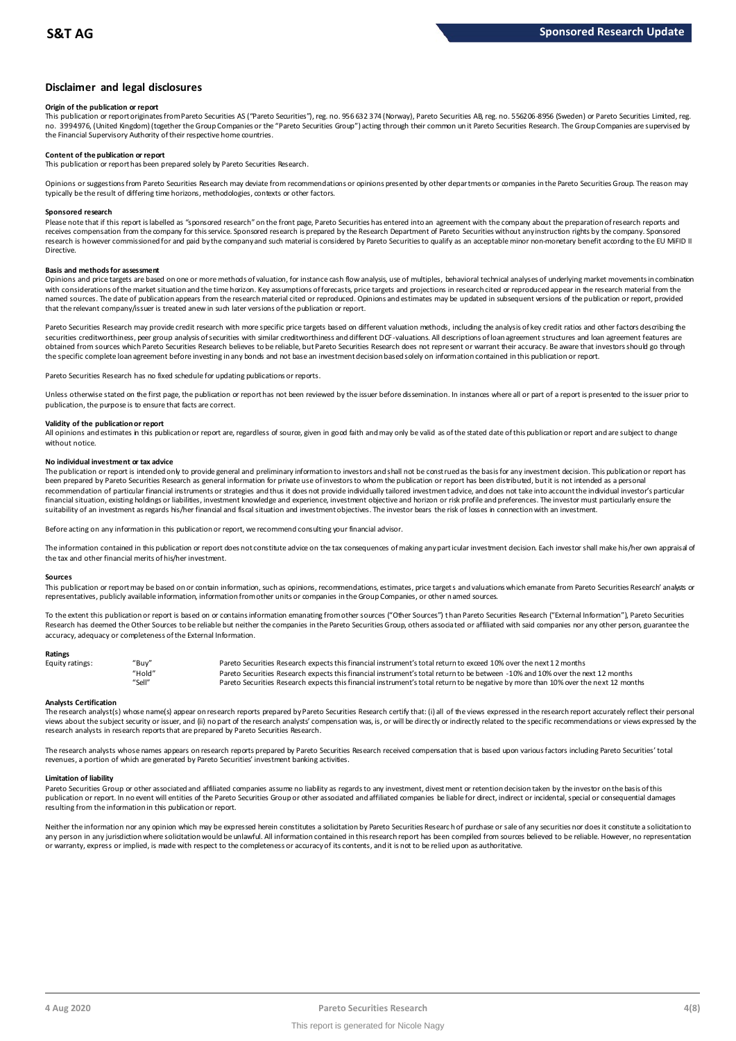#### **Disclaimer and legal disclosures**

#### **Origin of the publication or report**

This publication or report originates from Pareto Securities AS ("Pareto Securities"), reg. no. 956 632 374 (Norway), Pareto Securities AB, reg. no. 556206-8956 (Sweden) or Pareto Securities Limited, reg. no. 3994976. (United Kingdom) (together the Group Companies or the "Pareto Securities Group") acting through their common un it Pareto Securities Research. The Group Companies are supervised by the Financial Supervisory Authority of their respective home countries.

#### **Content of the publication or report**

This publication or report has been prepared solely by Pareto Securities Research.

Opinions or suggestions from Pareto Securities Research may deviate from recommendations or opinions presented by other departments or companies in the Pareto Securities Group. The reason may typically be the result of differing time horizons, methodologies, contexts or other factors.

#### **Sponsored research**

Please note that if this report is labelled as "sponsored research" on the front page, Pareto Securities has entered into an agreement with the company about the preparation of research reports and receives compensation from the company for this service. Sponsored research is prepared by the Research Department of Pareto Securities without any instruction rights by the company. Sponsored research is however commissioned for and paid by the company and such material is considered by Pareto Securities to qualify as an acceptable minor non-monetary benefit according to the EU MiFID II Directive.

#### **Basis and methods for assessment**

Opinions and price targets are based on one or more methods of valuation, for instance cash flow analysis, use of multiples, behavioral technical analyses of underlying market movements in combination with considerations of the market situation and the time horizon. Key assumptions of forecasts, price targets and projections in research cited or reproduced appear in the research material from the named sources. The date of publication appears from the research material cited or reproduced. Opinions and estimates may be updated in subsequent versions of the publication or report, provided in subsequent versions of t that the relevant company/issuer is treated anew in such later versions of the publication or report.

Pareto Securities Research may provide credit research with more specific price targets based on different valuation methods, including the analysis of key credit ratios and other factors describing the securities creditworthiness, peer group analysis of securities with similar creditworthiness and different DCF-valuations. All descriptions of loan agreement structures and loan agreement features are obtained from sources which Pareto Securities Research believes to be reliable, but Pareto Securities Research does not represent or warrant their accuracy. Be aware that investors should go through the specific complete loan agreement before investing in any bonds and not base an investment decision based solely on information contained in this publication or report.

Pareto Securities Research has no fixed schedule for updating publications or reports.

Unless otherwise stated on the first page, the publication or report has not been reviewed by the issuer before dissemination. In instances where all or part of a report is presented to the issuer prior to publication, the purpose is to ensure that facts are correct.

#### **Validity of the publication or report**

All opinions and estimates in this publication or report are, regardless of source, given in good faith and may only be valid as of the stated date of this publication or report and are subject to change without notice.

#### **No individual investment or tax advice**

The publication or report is intended only to provide general and preliminary information to investors and shall not be construed as the basis for any investment decision. This publication or report has been prepared by Pareto Securities Research as general information for private use of investors to whom the publication or report has been distributed, but it is not intended as a personal recommendation of partiɑɪlar financial instruments or strategies and thus it does not provide individually tailored investmen tadvice, and does not take into account the individual investor's particular<br>financial situation suitability of an investment as regards his/her financial and fiscal situation and investment objectives. The investor bears the risk of losses in connection with an investment.

Before acting on any information in this publication or report, we recommend consulting your financial advisor.

The information contained in this publication or report does not constitute advice on the tax consequences of making any particular investment decision. Each investor shall make his/her own appraisal of the tax and other financial merits of his/her investment.

#### **Sources**

This publication or report may be based on or contain information, such as opinions, recommendations, estimates, price targets and valuations which emanate from Pareto Securities Research' analysts or representatives, publicly available information, information from other units or companies in the Group Companies, or other named sources.

To the extent this publication or report is based on or contains information emanating from other sources ("Other Sources") than Pareto Securities Research ("External Information"), Pareto Securities Research has deemed the Other Sources to be reliable but neither the companies in the Pareto Securities Group, others associated or affiliated with said companies nor any other person, guarantee the accuracy, adequacy or completeness of the External Information.

#### **Ratings**

| Equity ratings: | "Buy"  | Pareto Securities Research expects this financial instrument's total return to exceed 10% over the next 12 months                   |
|-----------------|--------|-------------------------------------------------------------------------------------------------------------------------------------|
|                 | "Hold" | Pareto Securities Research expects this financial instrument's total return to be between -10% and 10% over the next 12 months      |
|                 | "Sell" | Pareto Securities Research expects this financial instrument's total return to be negative by more than 10% over the next 12 months |

Analysts Certification<br>The research analyst(s) whose name(s) appear on research reports prepared by Pareto Securities Research certify that: (i) all of the views expressed in the research report accurately reflect their pe "Hold"<br>"Sell" Pareto Securities Research expects this financial instrument's total return to be between -1.0% and 10% over the next 12 months<br>"Sell" Pareto Securities Research expects this financial instrument's total retu research analysts in research reports that are prepared by Pareto Securities Research.

The research analysts whose names appears on research reports prepared by Pareto Securities Research received compensation that is based upon various factors including Pareto Securities' total<br>revenues, a portion of which

#### **Limitation of liability**

Pareto Securities Group or other associated and affiliated companies assume no liability as regards to any investment, divest ment or retention decision taken by the investor on the basis of this publication or report. In no event will entities of the Pareto Securities Group or other associated and affiliated companies be liable for direct, indirect or incidental, special or consequential damages resulting from the information in this publication or report.

Neither the information nor any opinion which may be expressed herein constitutes a soligitation by Pareto Securities Research of purchase or sale of any securities nor does it constitute a soligitation to any person in any jurisdiction where solicitation would be unlawful. All information contained in this research report has been compiled from sources believed to be reliable. However, no representation or warranty, express or implied, is made with respect to the completeness or accuracy of its contents, and it is not to be relied upon as authoritative.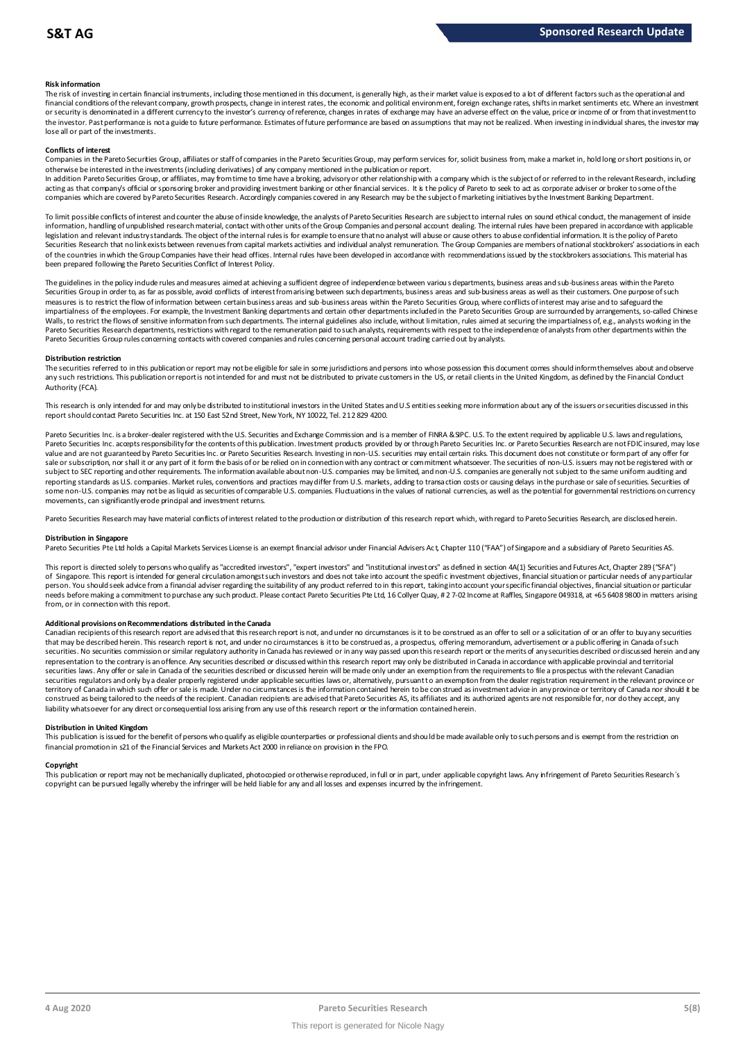#### **Risk information**

The risk of investing in certain financial instruments, including those mentioned in this document, is generally high, as their market value is exposed to a lot of different factors such as the operational and financial conditions of the relevant company, growth prospects, change in interest rates, the economic and political environment, foreign exchange rates, shifts in market sentiments etc. Where an investment or security is denominated in a different currency to the investor's currency of reference, changes in rates of exchange may have an adverse effect on the value, price or income of or from that investment to the investor. Past performance is not a guide to future performance. Estimates of future performance are based on assumptions that may not be realized. When investing in individual shares, the investor may lose all or part of the investments.

#### **Conflicts of interest**

Companies in the Pareto Securities Group, affiliates or staff of companies in the Pareto Securities Group, may perform services for, solicit business from, make a market in, hold long or short positions in, or otherwise be interested in the investments (including derivatives) of any company mentioned in the publication or report.

In addition Pareto Securities Group, or affiliates, may from time to time have a broking, advisory or other relationship with a company which is the subject of or referred to in the relevant Research, including acting as that company's official or sponsoring broker and providing investment banking or other financial services. It is the policy of Pareto to seek to act as corporate adviser or broker to some of the<br>companies which a

To limit possible conflicts of interest and counter the abuse of inside knowledge, the analysts of Pareto Securities Research are subject to internal rules on sound ethical conduct, the management of inside<br>information, ha legislation and relevant industry standards. The object of the internal rules is for example to ensure that no analyst will abuse or cause others to abuse confidential information. It is the policy of Pareto Securities Research that no link exists between revenues from capital markets activities and individual analyst remuneration. The Group Companies are members of national stockbrokers' associations in each of the countries in which the Group Companies have their head offices. Internal rules have been developed in accordance with recommendations issued by the stockbrokers associations. This material has been prepared following the Pareto Securities Conflict of Interest Policy.

The guidelines in the policy indude rules and measures aimed at achieving a sufficient degree of independence between variou s departments, business areas and sub-business areas within the Pareto In the sum in order to, as far as possible, avoid conflicts of interest from arising between such departments, business areas and sub-business areas as well as their customers. One purpose of such customers areas as well a measures is to restrict the flow of information between certain business areas and sub-business areas within the Pareto Securities Group, where conflicts of interest may arise and to safeguard the impartialness of the empl The guidelines in the policy indude rules and measures aimed at achieving a sufficient degree of independence between various departments, business areas and sub-business areas within the Pareto<br>Securities Group in order t Pareto Securities Group rules concerning contacts with covered companies and rules concerning personal account trading carried out by analysts.

#### **Distribution restriction**

The securities referred to in this publication or report may not be eligible for sale in some jurisdictions and persons into whose possession this document comes should inform themselves about and observe Pareto Securities Group rules concerning contacts with covered companies and rules concerning personal account trading carried out by analysts.<br>Distribution restriction<br>The securities referred to in this publication or rep Authority (FCA).

This research is only intended for and may only be distributed to institutional investors in the United States and U.S entities seeking more information about any of the issuers or securities discussed in this report should contact Pareto Securities Inc. at 150 East 52nd Street, New York, NY 10022, Tel. 212 829 4200.

Pareto Securities Inc. is a broker-dealer registered with the U.S. Securities and Exchange Commission and is a member of FINRA & SIPC. U.S. To the extent required by applicable U.S. laws and regulations, Pareto Securities Inc. accepts responsibility for the contents of this publication. Investment products provided by or through Pareto Securities Inc. or Pareto Securities Research are not FDIC insured, may lose value and are not guaranteed by Pareto Securities Inc. or Pareto Securities Research. Investing in non-U.S. securities may entail certain risks. This document does not constitute or form part of any offer for sale or subscription, nor shall it or any part of it form the basis of or be relied on in connection with any contract or commitment whatsoever. The securities of non-U.S. issuers may not be registered with or subject to SEC reporting and other requirements. The information available about non-U.S. companies may be limited, and non-U.S. companies are generally not subject to the same uniform auditing and subject to the same unif reporting standards as U.S. companies. Market rules, conventions and practices may differ from U.S. markets, adding to transaction costs or causing delays in the purchase or sale of securities. Securities of some non-U.S. companies may not be as liquid as securities of comparable U.S. companies. Fluctuations in the values of national currencies, as well as the potential for governmental restrictions on currency movements, can significantly erode principal and investment returns.

Pareto Securities Research may have material conflicts of interest related to the production or distribution of this research report which, with regard to Pareto Securities Research, are disclosed herein.

#### **Distribution in Singapore**

Pareto Securities Pte Ltd holds a Capital Markets Services License is an exempt financial advisor under Financial Advisers Ac t, Chapter 110 ("FAA") of Singapore and a subsidiary of Pareto Securities AS.

This report is directed solely to persons who qualify as "accredited investors", "expert investors" and "institutional investors" as defined in section 4A(1) Securities and Futures Act, Chapter 289 ("SFA") Distribution in Singapore<br>Pareto Securities Pte Ltd holds a Capital Markets Services License is an exempt financial advisor under Financial Advisers Act, Chapter 110 ("FAA") of Singapore and a subsidiary of Pareto Securiti person. You should seek advice from a financial adviser regarding the suitability of any product referred to in this report, taking into account your specific financial objectives, financial situation or particular needs before making a commitment to purchase any such product. Please contact Pareto Securities Pte Ltd, 16 Collyer Quay, # 2 7-02 Income at Raffles, Singapore 049318, at +65 6408 9800 in matters arising from, or in connection with this report.

#### **Additional provisions on Recommendations distributed in the Canada**

needs before making a commitment to purchase any such product. Please contact Pareto Securities Pte Ltd, 16 Collyer Quay, # 2 7-02 Income at Raffles, Singapore 049318, at +65 6408 9800 in matters arisin<br>from, or in connect from, or in connection with this report.<br>Additional provisions on Recommendations distributed in the Canada<br>Canadian recipients of this research report are advised that this research report is not, and under no circumstanc securities. No securities commission or similar regulatory authority in Canada has reviewed or in any way passed upon this research report or the merits of any securities described or discussed herein and any representation to the contrary is an offence. Any securities described or discussed within this research report may only be distributed in Canada in accordance with applicable provincial and territorial<br>securities laws. An securities regulators and only by a dealer properly registered under applicable securities laws or, alternatively, pursuant to an exemption from the dealer registration requirement in the relevant province or territory of Canada in which such offer or sale is made. Under no circumstances is the information contained herein to be construed as investment advice in any province or territory of Canada nor should it be construed as being tailored to the needs of the recipient. Canadian redpients are advised that Pareto Securities AS, its affiliates and its authorized agents are not responsible for, nor do they accept, any liability whatsoever for any direct or consequential loss arising from any use of this research report or the information contained herein.

#### **Distribution in United Kingdom**

This publication is issued for the benefit of persons who qualify as eligible counterparties or professional dients and should be made available only to such persons and is exempt from the restriction on financial promotion in s21 of the Financial Services and Markets Act 2000 in reliance on provision in the FPO.

#### **Copyright**

This publication or report may not be mechanically duplicated, photocopied or otherwise reproduced, in full or in part, under applicable copyright laws. Any infringement of Pareto Securities Research's copyright can be pursued legally whereby the infringer will be held liable for any and all losses and expenses incurred by the infringement.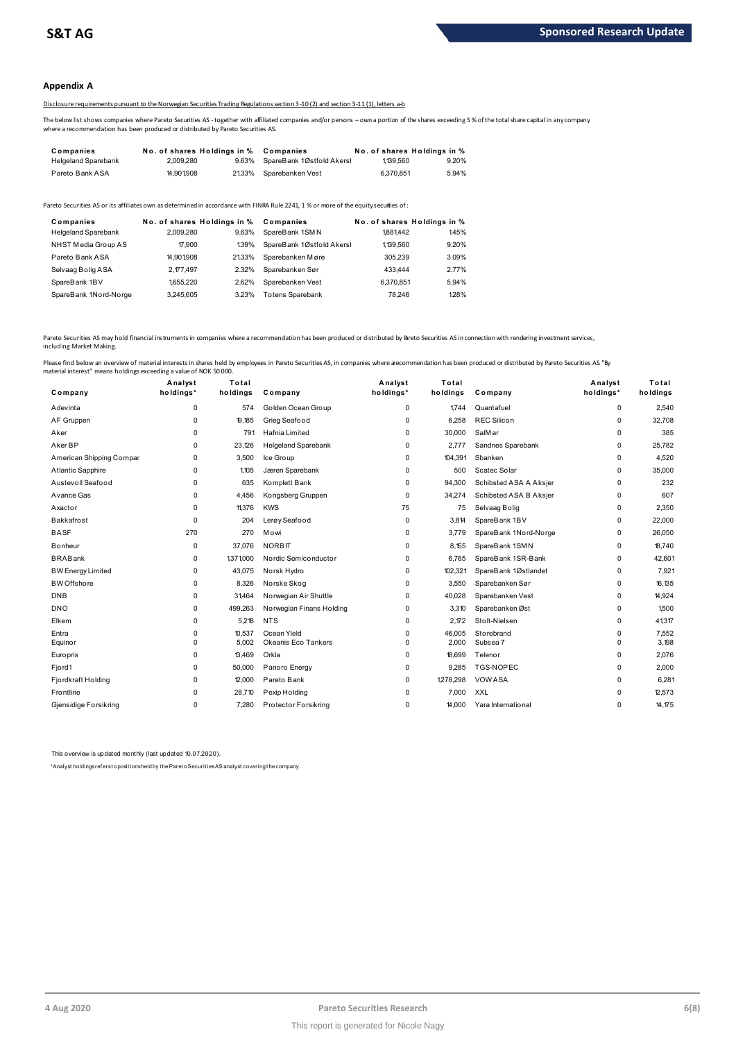#### **Appendix A**

#### Disclosure requirements pursuant to the Norwegian Securities Trading Regulations section 3-10 (2) and section 3-11 (1), letters a-b

The below list shows companies where Pareto Securities AS -together with affiliated companies and/or persons – own a portion of the shares exceeding 5 % of the total share capital in any company where a recommendation has been produced or distributed by Pareto Securities AS.

|                                                                                                                                                                                                                                          |                             |       | 2012 2013 DISCLOSURE Requirements bursuant to the Norwegian Securities Trading Regulations section 3-10(2) and section 3-11(1). Tetters a-b |                             |       |  |
|------------------------------------------------------------------------------------------------------------------------------------------------------------------------------------------------------------------------------------------|-----------------------------|-------|---------------------------------------------------------------------------------------------------------------------------------------------|-----------------------------|-------|--|
| The below list shows companies where Pareto Securities AS -together with affiliated companies and/or persons –own a portion of the shares exceeding!<br>where a recommendation has been produced or distributed by Pareto Securities AS. |                             |       |                                                                                                                                             |                             |       |  |
| Companies                                                                                                                                                                                                                                | No. of shares Holdings in % |       | Companies                                                                                                                                   | No. of shares Holdings in % |       |  |
| <b>Helgeland Sparebank</b>                                                                                                                                                                                                               | 2.009.280                   | 9.63% | SpareBank 1Østfold Akersl                                                                                                                   | 1139.560                    | 9.20% |  |
| Pareto Bank ASA                                                                                                                                                                                                                          | 14.901.908                  | 2133% | Sparebanken Vest                                                                                                                            | 6.370.851                   | 5.94% |  |
|                                                                                                                                                                                                                                          |                             |       |                                                                                                                                             |                             |       |  |

| <b>I GIVIV DAIIN AVA</b>                                                                                                              | 000 LOVU                                 | 2 I.J J JU | <b>UDDIODAIINUI VUJL</b>    | <b>U.U.U.U.U</b>                       | <b>J.JT/U</b> |
|---------------------------------------------------------------------------------------------------------------------------------------|------------------------------------------|------------|-----------------------------|----------------------------------------|---------------|
| Pareto Securities AS or its affiliates own as determined in accordance with FINRA Rule 2241. 1 % or more of the equity securiies of : |                                          |            |                             |                                        |               |
| Companies<br><b>Helgeland Sparebank</b>                                                                                               | No. of shares Holdings in %<br>2.009.280 | 9.63%      | Companies<br>SpareBank 1SMN | No. of shares Holdings in %<br>1881442 | 145%          |
| NHST Media Group AS                                                                                                                   | 17.900                                   | 139%       | SpareBank 1Østfold Akersl   | 1,139,560                              | 9.20%         |
| Pareto Bank ASA                                                                                                                       | 14.901.908                               | 2133%      | Sparebanken Møre            | 305.239                                | 3.09%         |
| Selvaag Bolig ASA                                                                                                                     | 2.177.497                                | 2.32%      | Sparebanken Sør             | 433,444                                | 2.77%         |
| SpareBank 1BV                                                                                                                         | 1655.220                                 | 2.62%      | Sparebanken Vest            | 6.370.851                              | 5.94%         |
| SpareBank 1Nord-Norge                                                                                                                 | 3.245.605                                | 3.23%      | <b>Totens Sparebank</b>     | 78.246                                 | 128%          |

Pareto Securities AS may hold financial instruments in companies where a recommendation has been produced or distributed by Breto Securities AS in connection with rendering investment services, including Market Making.

| Company                  | Analyst<br>holdings* | Total<br>holdings | Company                    | Analyst<br>holdings* | Total<br>holdings | Company                | Analyst<br>holdings* | Total<br>holdings |
|--------------------------|----------------------|-------------------|----------------------------|----------------------|-------------------|------------------------|----------------------|-------------------|
|                          |                      |                   |                            |                      |                   |                        |                      |                   |
| Adevinta                 | $\Omega$             | 574               | Golden Ocean Group         | 0                    | 1.744             | Quantafuel             | 0                    | 2,540             |
| AF Gruppen               | $\Omega$             | 19.185            | Grieg Seafood              | 0                    | 6,258             | <b>REC Silicon</b>     | 0                    | 32,708<br>385     |
| Aker                     | $\Omega$             | 791               | Hafnia Limited             | 0                    | 30,000            | <b>SalMar</b>          | 0                    |                   |
| Aker BP                  | $\Omega$             | 23,126            | <b>Helgeland Sparebank</b> | 0                    | 2,777             | Sandnes Sparebank      | 0                    | 25,782            |
| American Shipping Compar | 0                    | 3,500             | Ice Group                  | 0                    | 104,391           | Sbanken                | 0                    | 4,520             |
| Atlantic Sapphire        | 0                    | 1.105             | Jæren Sparebank            | 0                    | 500               | Scatec Solar           | 0                    | 35,000            |
| Austevoll Seafood        | $\Omega$             | 635               | Komplett Bank              | 0                    | 94,300            | Schibsted ASA A Aksjer | 0                    | 232               |
| Avance Gas               | $\Omega$             | 4,456             | Kongsberg Gruppen          | 0                    | 34,274            | Schibsted ASA B Aksjer | 0                    | 607               |
| Axactor                  | $\Omega$             | 11,376            | <b>KWS</b>                 | 75                   | 75                | Selvaag Bolig          | 0                    | 2,350             |
| Bakkafrost               | $\Omega$             | 204               | Lerøy Seafood              | $\Omega$             | 3,814             | SpareBank 1BV          | 0                    | 22,000            |
| <b>BASF</b>              | 270                  | 270               | Mowi                       | 0                    | 3,779             | SpareBank 1Nord-Norge  | 0                    | 26,050            |
| <b>B</b> onheur          | $\Omega$             | 37,076            | <b>NORBIT</b>              | 0                    | 8.155             | SpareBank 1SMN         | 0                    | 18,740            |
| <b>BRABank</b>           | $\Omega$             | 1,371,000         | Nordic Semiconductor       | 0                    | 6,765             | SpareBank 1SR-Bank     | 0                    | 42,601            |
| <b>BW Energy Limited</b> | $\Omega$             | 43,075            | Norsk Hydro                | 0                    | 102,321           | SpareBank 1Østlandet   | 0                    | 7,921             |
| <b>BW</b> Offshore       | 0                    | 8,326             | Norske Skog                | 0                    | 3,550             | Sparebanken Sør        | 0                    | 16,135            |
| <b>DNB</b>               | $\Omega$             | 31,464            | Norwegian Air Shuttle      | 0                    | 40,028            | Sparebanken Vest       | 0                    | 14,924            |
| <b>DNO</b>               | 0                    | 499,263           | Norwegian Finans Holding   | 0                    | 3,310             | Sparebanken Øst        | 0                    | 1,500             |
| Elkem                    | $\Omega$             | 5,218             | <b>NTS</b>                 | 0                    | 2.172             | Stolt-Nielsen          | 0                    | 41,317            |
| Entra                    | $\Omega$             | 10,537            | Ocean Yield                | $\Omega$             | 46,005            | Storebrand             | 0                    | 7,552             |
| Equinor                  | $\Omega$             | 5,002             | Okeanis Eco Tankers        | 0                    | 2,000             | Subsea 7               | $\Omega$             | 3,198             |
| Europris                 | $\Omega$             | 13.469            | Orkla                      | 0                    | 18.699            | Telenor                | 0                    | 2,076             |
| Fjord1                   | $\Omega$             | 50,000            | Panoro Energy              | 0                    | 9.285             | TGS-NOPEC              | 0                    | 2,000             |
| Fjordkraft Holding       | $\Omega$             | 12,000            | Pareto Bank                | 0                    | 1,278,298         | VOWASA                 | 0                    | 6,281             |
| Frontline                | $\Omega$             | 28,710            | Pexip Holding              | 0                    | 7,000             | <b>XXL</b>             | 0                    | 12,573            |
| Gjensidige Forsikring    | 0                    | 7.280             | Protector Forsikring       | 0                    | 14.000            | Yara International     | 0                    | 14,175            |

This overview is updated monthly (last updated 10.07.2020).

\*Analyst holdings ref ers t o posit ions held by t he Paret o Securit ies AS analyst covering t he company.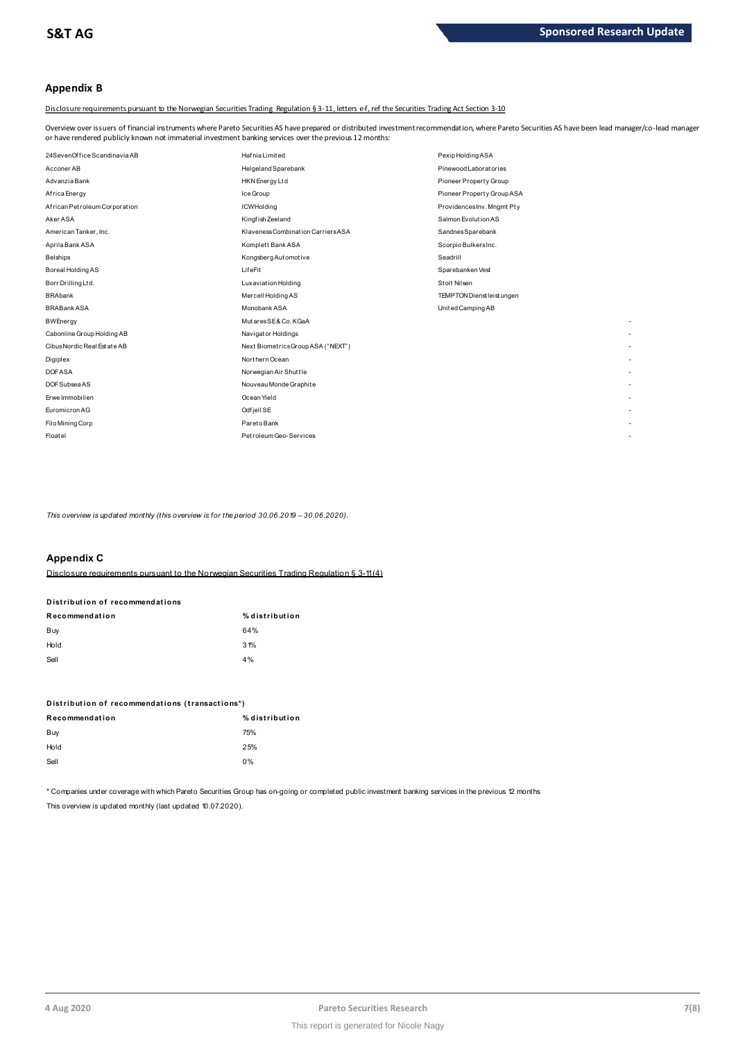## **Appendix B**

Disclosure requirements pursuant to the Norwegian Securities Trading Regulation § 3-11, letters e-f, ref the Securities Trading Act Section 3-10

Overview over issuers of financial instruments where Pareto Securities AS have prepared or distributed investment recommendation, where Pareto Securities AS have been lead manager/co-lead manager<br>or have rendered publicly

| or have rendered publicly known not immaterial investment banking services over the previous 12 months: |                                    |                            |  |  |  |
|---------------------------------------------------------------------------------------------------------|------------------------------------|----------------------------|--|--|--|
| 24SevenOffice Scandinavia AB                                                                            | HafniaLimited                      | Pexip Holding ASA          |  |  |  |
| Acconer AB                                                                                              | Helgeland Sparebank                | Pinewood Laboratories      |  |  |  |
| Advanzia Bank                                                                                           | HKN Energy Ltd                     | Pioneer Property Group     |  |  |  |
| Africa Energy                                                                                           | Ice Group                          | Pioneer Property Group ASA |  |  |  |
| African Petroleum Corporation                                                                           | <b>ICWHolding</b>                  | ProvidencesInv. Mngmt Pty  |  |  |  |
| Aker ASA                                                                                                | Kingfish Zeeland                   | Salmon Evolution AS        |  |  |  |
| American Tanker, Inc.                                                                                   | Klaveness Combination Carriers ASA | SandnesSparebank           |  |  |  |
| Aprila Bank ASA                                                                                         | Komplett Bank ASA                  | Scorpio BulkersInc.        |  |  |  |
| <b>Belships</b>                                                                                         | Kongsberg Automotive               | Seadrill                   |  |  |  |
| Boreal Holding AS                                                                                       | LifeFit                            | Sparebanken Vest           |  |  |  |
| Borr Drilling Ltd.                                                                                      | Luxaviation Holding                | Stolt Nilsen               |  |  |  |
| <b>BRAbank</b>                                                                                          | Mercell Holding AS                 | TEMPTON Dienst leist ungen |  |  |  |
| <b>BRABank ASA</b>                                                                                      | Monobank ASA                       | United Camping AB          |  |  |  |
| <b>BWEnergy</b>                                                                                         | MutaresSE& Co. KGaA                |                            |  |  |  |
| Cabonline Group Holding AB                                                                              | Navigator Holdings                 |                            |  |  |  |
| Cibus Nordic Real Est at e AB                                                                           | Next BiometricsGroup ASA ("NEXT")  |                            |  |  |  |
| Digiplex                                                                                                | Northern Ocean                     |                            |  |  |  |
| <b>DOFASA</b>                                                                                           | Norwegian Air Shuttle              |                            |  |  |  |
| DOF Subsea AS                                                                                           | Nouveau Monde Graphite             |                            |  |  |  |
| Erwe Immobilien                                                                                         | Ocean Yield                        |                            |  |  |  |
| Euromicron AG                                                                                           | Odfjell SE                         |                            |  |  |  |
| Filo Mining Corp                                                                                        | ParetoBank                         |                            |  |  |  |
| Floatel                                                                                                 | Petroleum Geo-Services             |                            |  |  |  |

*This overview is updated monthly (this overview is for the period 30.06.2019 - 30.06.2020).* 

#### **Appendix C**

Disclosure requirements pursuant to the Norwegian Securities Trading Regulation § 3-11 (4)

# **Distribution of recommendations Disclosure requirements pursuant to<br>Distribution of recommendations**<br>-

| Recommendation | % distribution |
|----------------|----------------|
| Buy            | 64%            |
| Hold           | 31%            |
| Sell           | 4%             |

# **Dom**<br>Distribution of recommendations (transactions\*)<br>–

| Distribution of recommendations (transactions*) |                |  |  |
|-------------------------------------------------|----------------|--|--|
| Recommendation                                  | % distribution |  |  |
| Buy                                             | 75%            |  |  |
| Hold                                            | 25%            |  |  |
| Sell                                            | 0%             |  |  |
|                                                 |                |  |  |

\* Companies under coverage with which Pareto Securities Group has on-going or completed public investment banking services in the previous 12 months This overview is updated monthly (last updated 10.07.2020).